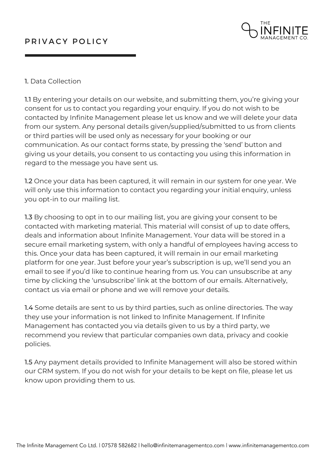

### 1. Data Collection

1.1 By entering your details on our website, and submitting them, you're giving your consent for us to contact you regarding your enquiry. If you do not wish to be contacted by Infinite Management please let us know and we will delete your data from our system. Any personal details given/supplied/submitted to us from clients or third parties will be used only as necessary for your booking or our communication. As our contact forms state, by pressing the 'send' button and giving us your details, you consent to us contacting you using this information in regard to the message you have sent us.

1.2 Once your data has been captured, it will remain in our system for one year. We will only use this information to contact you regarding your initial enquiry, unless you opt-in to our mailing list.

1.3 By choosing to opt in to our mailing list, you are giving your consent to be contacted with marketing material. This material will consist of up to date offers, deals and information about Infinite Management. Your data will be stored in a secure email marketing system, with only a handful of employees having access to this. Once your data has been captured, it will remain in our email marketing platform for one year. Just before your year's subscription is up, we'll send you an email to see if you'd like to continue hearing from us. You can unsubscribe at any time by clicking the 'unsubscribe' link at the bottom of our emails. Alternatively, contact us via email or phone and we will remove your details.

1.4 Some details are sent to us by third parties, such as online directories. The way they use your information is not linked to Infinite Management. If Infinite Management has contacted you via details given to us by a third party, we recommend you review that particular companies own data, privacy and cookie policies.

1.5 Any payment details provided to Infinite Management will also be stored within our CRM system. If you do not wish for your details to be kept on file, please let us know upon providing them to us.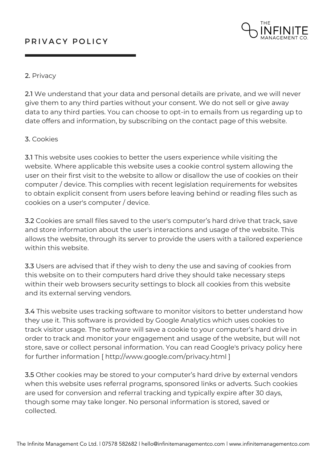## PRIVACY POLICY



#### 2. Privacy

2.1 We understand that your data and personal details are private, and we will never give them to any third parties without your consent. We do not sell or give away data to any third parties. You can choose to opt-in to emails from us regarding up to date offers and information, by subscribing on the contact page of this website.

#### 3. Cookies

3.1 This website uses cookies to better the users experience while visiting the website. Where applicable this website uses a cookie control system allowing the user on their first visit to the website to allow or disallow the use of cookies on their computer / device. This complies with recent legislation requirements for websites to obtain explicit consent from users before leaving behind or reading files such as cookies on a user's computer / device.

3.2 Cookies are small files saved to the user's computer's hard drive that track, save and store information about the user's interactions and usage of the website. This allows the website, through its server to provide the users with a tailored experience within this website.

3.3 Users are advised that if they wish to deny the use and saving of cookies from this website on to their computers hard drive they should take necessary steps within their web browsers security settings to block all cookies from this website and its external serving vendors.

3.4 This website uses tracking software to monitor visitors to better understand how they use it. This software is provided by Google Analytics which uses cookies to track visitor usage. The software will save a cookie to your computer's hard drive in order to track and monitor your engagement and usage of the website, but will not store, save or collect personal information. You can read Google's privacy policy here for further information [ http://www.google.com/privacy.html ]

3.5 Other cookies may be stored to your computer's hard drive by external vendors when this website uses referral programs, sponsored links or adverts. Such cookies are used for conversion and referral tracking and typically expire after 30 days, though some may take longer. No personal information is stored, saved or collected.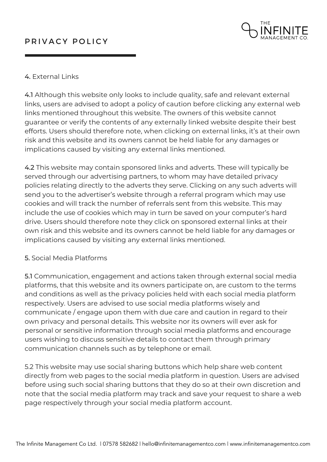# PRIVACY POLICY



### 4. External Links

4.1 Although this website only looks to include quality, safe and relevant external links, users are advised to adopt a policy of caution before clicking any external web links mentioned throughout this website. The owners of this website cannot guarantee or verify the contents of any externally linked website despite their best efforts. Users should therefore note, when clicking on external links, it's at their own risk and this website and its owners cannot be held liable for any damages or implications caused by visiting any external links mentioned.

4.2 This website may contain sponsored links and adverts. These will typically be served through our advertising partners, to whom may have detailed privacy policies relating directly to the adverts they serve. Clicking on any such adverts will send you to the advertiser's website through a referral program which may use cookies and will track the number of referrals sent from this website. This may include the use of cookies which may in turn be saved on your computer's hard drive. Users should therefore note they click on sponsored external links at their own risk and this website and its owners cannot be held liable for any damages or implications caused by visiting any external links mentioned.

#### 5. Social Media Platforms

5.1 Communication, engagement and actions taken through external social media platforms, that this website and its owners participate on, are custom to the terms and conditions as well as the privacy policies held with each social media platform respectively. Users are advised to use social media platforms wisely and communicate / engage upon them with due care and caution in regard to their own privacy and personal details. This website nor its owners will ever ask for personal or sensitive information through social media platforms and encourage users wishing to discuss sensitive details to contact them through primary communication channels such as by telephone or email.

5.2 This website may use social sharing buttons which help share web content directly from web pages to the social media platform in question. Users are advised before using such social sharing buttons that they do so at their own discretion and note that the social media platform may track and save your request to share a web page respectively through your social media platform account.